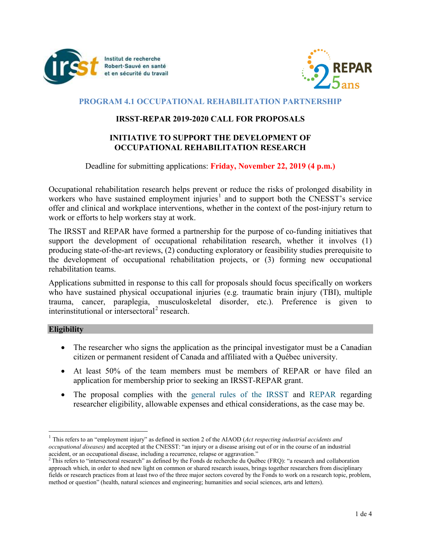



# **PROGRAM 4.1 OCCUPATIONAL REHABILITATION PARTNERSHIP**

# **IRSST-REPAR 2019-2020 CALL FOR PROPOSALS**

# **INITIATIVE TO SUPPORT THE DEVELOPMENT OF OCCUPATIONAL REHABILITATION RESEARCH**

## Deadline for submitting applications: **Friday, November 22, 2019 (4 p.m.)**

Occupational rehabilitation research helps prevent or reduce the risks of prolonged disability in workers who have sustained employment injuries<sup>[1](#page-0-0)</sup> and to support both the CNESST's service offer and clinical and workplace interventions, whether in the context of the post-injury return to work or efforts to help workers stay at work.

The IRSST and REPAR have formed a partnership for the purpose of co-funding initiatives that support the development of occupational rehabilitation research, whether it involves (1) producing state-of-the-art reviews, (2) conducting exploratory or feasibility studies prerequisite to the development of occupational rehabilitation projects, or (3) forming new occupational rehabilitation teams.

Applications submitted in response to this call for proposals should focus specifically on workers who have sustained physical occupational injuries (e.g. traumatic brain injury (TBI), multiple trauma, cancer, paraplegia, musculoskeletal disorder, etc.). Preference is given to interinstitutional or intersectoral<sup>[2](#page-0-1)</sup> research.

### **Eligibility**

- The researcher who signs the application as the principal investigator must be a Canadian citizen or permanent resident of Canada and affiliated with a Québec university.
- At least 50% of the team members must be members of REPAR or have filed an application for membership prior to seeking an IRSST-REPAR grant.
- The proposal complies with the [general rules of the IRSST](https://www.irsst.qc.ca/en/grants) and [REPAR](https://repar.ca/programmes/) regarding researcher eligibility, allowable expenses and ethical considerations, as the case may be.

<span id="page-0-0"></span> <sup>1</sup> This refers to an "employment injury" as defined in section 2 of the AIAOD (*Act respecting industrial accidents and occupational diseases*) and accepted at the CNESST: "an injury or a disease arising out of or in the course of an industrial accident, or an occupational disease, including a recurrence, relapse or aggravation."

<span id="page-0-1"></span><sup>&</sup>lt;sup>2</sup> This refers to "intersectoral research" as defined by the Fonds de recherche du Québec (FRQ): "a research and collaboration approach which, in order to shed new light on common or shared research issues, brings together researchers from disciplinary fields or research practices from at least two of the three major sectors covered by the Fonds to work on a research topic, problem, method or question" (health, natural sciences and engineering; humanities and social sciences, arts and letters).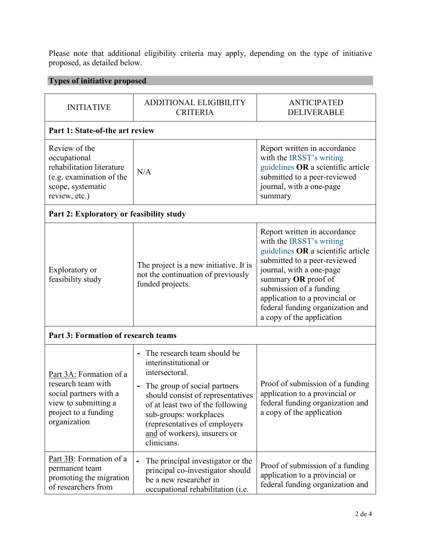Please note that additional eligibility criteria may apply, depending on the type of initiative proposed, as detailed below.

# **Types of initiative proposed**

| <b>INITIATIVE</b>                                                                                                                       | <b>ADDITIONAL ELIGIBILITY</b><br><b>CRITERIA</b>                                                                                                                                                                                                                                                                 | <b>ANTICIPATED</b><br>DELIVERABLE                                                                                                                                                                                                                                                                               |  |  |  |
|-----------------------------------------------------------------------------------------------------------------------------------------|------------------------------------------------------------------------------------------------------------------------------------------------------------------------------------------------------------------------------------------------------------------------------------------------------------------|-----------------------------------------------------------------------------------------------------------------------------------------------------------------------------------------------------------------------------------------------------------------------------------------------------------------|--|--|--|
| Part 1: State-of-the art review                                                                                                         |                                                                                                                                                                                                                                                                                                                  |                                                                                                                                                                                                                                                                                                                 |  |  |  |
| Review of the<br>occupational<br>rehabilitation literature<br>(e.g. examination of the<br>scope, systematic<br>review, etc.)            | N/A                                                                                                                                                                                                                                                                                                              | Report written in accordance<br>with the IRSST's writing<br>guidelines OR a scientific article<br>submitted to a peer-reviewed<br>journal, with a one-page<br>summary                                                                                                                                           |  |  |  |
| Part 2: Exploratory or feasibility study                                                                                                |                                                                                                                                                                                                                                                                                                                  |                                                                                                                                                                                                                                                                                                                 |  |  |  |
| Exploratory or<br>feasibility study                                                                                                     | The project is a new initiative. It is<br>not the continuation of previously<br>funded projects.                                                                                                                                                                                                                 | Report written in accordance<br>with the IRSST's writing<br>guidelines OR a scientific article<br>submitted to a peer-reviewed<br>journal, with a one-page<br>summary OR proof of<br>submission of a funding<br>application to a provincial or<br>federal funding organization and<br>a copy of the application |  |  |  |
| Part 3: Formation of research teams                                                                                                     |                                                                                                                                                                                                                                                                                                                  |                                                                                                                                                                                                                                                                                                                 |  |  |  |
| Part 3A: Formation of a<br>research team with<br>social partners with a<br>view to submitting a<br>project to a funding<br>organization | The research team should be<br>$\blacksquare$<br>interinstitutional or<br>intersectoral.<br>The group of social partners<br>-<br>should consist of representatives<br>of at least two of the following<br>sub-groups: workplaces<br>(representatives of employers<br>and of workers), insurers or<br>clinicians. | Proof of submission of a funding<br>application to a provincial or<br>federal funding organization and<br>a copy of the application                                                                                                                                                                             |  |  |  |
| Part 3B: Formation of a<br>permanent team<br>promoting the migration<br>of researchers from                                             | The principal investigator or the<br>principal co-investigator should<br>be a new researcher in<br>occupational rehabilitation (i.e.                                                                                                                                                                             | Proof of submission of a funding<br>application to a provincial or<br>federal funding organization and                                                                                                                                                                                                          |  |  |  |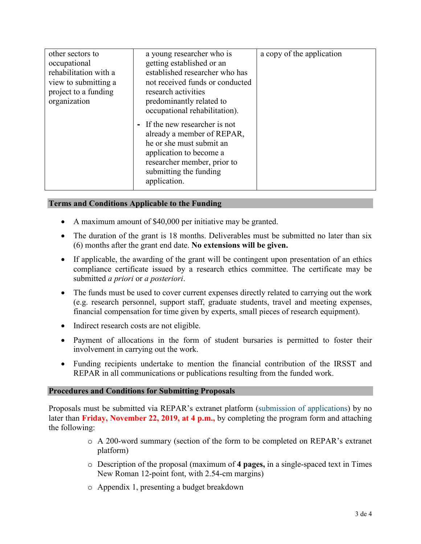| other sectors to<br>occupational<br>rehabilitation with a<br>view to submitting a<br>project to a funding<br>organization | a young researcher who is<br>getting established or an<br>established researcher who has<br>not received funds or conducted<br>research activities<br>predominantly related to<br>occupational rehabilitation).<br>- If the new researcher is not<br>already a member of REPAR,<br>he or she must submit an<br>application to become a<br>researcher member, prior to<br>submitting the funding<br>application. | a copy of the application |
|---------------------------------------------------------------------------------------------------------------------------|-----------------------------------------------------------------------------------------------------------------------------------------------------------------------------------------------------------------------------------------------------------------------------------------------------------------------------------------------------------------------------------------------------------------|---------------------------|
|---------------------------------------------------------------------------------------------------------------------------|-----------------------------------------------------------------------------------------------------------------------------------------------------------------------------------------------------------------------------------------------------------------------------------------------------------------------------------------------------------------------------------------------------------------|---------------------------|

## **Terms and Conditions Applicable to the Funding**

- A maximum amount of \$40,000 per initiative may be granted.
- The duration of the grant is 18 months. Deliverables must be submitted no later than six (6) months after the grant end date. **No extensions will be given.**
- If applicable, the awarding of the grant will be contingent upon presentation of an ethics compliance certificate issued by a research ethics committee. The certificate may be submitted *a priori* or *a posteriori*.
- The funds must be used to cover current expenses directly related to carrying out the work (e.g. research personnel, support staff, graduate students, travel and meeting expenses, financial compensation for time given by experts, small pieces of research equipment).
- Indirect research costs are not eligible.
- Payment of allocations in the form of student bursaries is permitted to foster their involvement in carrying out the work.
- Funding recipients undertake to mention the financial contribution of the IRSST and REPAR in all communications or publications resulting from the funded work.

### **Procedures and Conditions for Submitting Proposals**

Proposals must be submitted via REPAR's extranet platform [\(submission of applications\)](http://extranet.repar.ca/) by no later than **Friday, November 22, 2019, at 4 p.m.,** by completing the program form and attaching the following:

- o A 200-word summary (section of the form to be completed on REPAR's extranet platform)
- o Description of the proposal (maximum of **4 pages,** in a single-spaced text in Times New Roman 12-point font, with 2.54-cm margins)
- o Appendix 1, presenting a budget breakdown